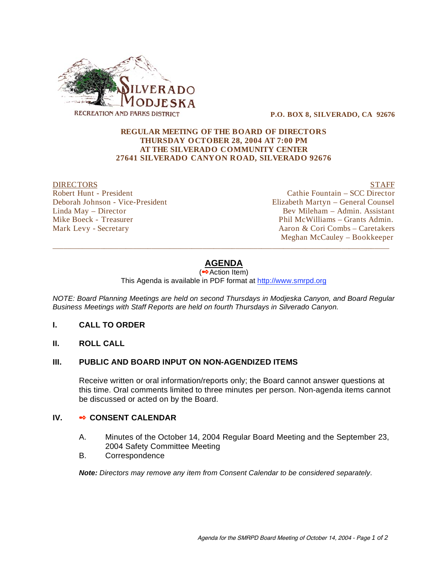

 **P.O. BOX 8, SILVERADO, CA 92676** 

#### **REGULAR MEETING OF THE BOARD OF DIRECTORS THURSDAY OCTOBER 28, 2004 AT 7:00 PM AT THE SILVERADO COMMUNITY CENTER 27641 SILVERADO CANYON ROAD, SILVERADO 92676**

DIRECTORS STAFF Robert Hunt - President Cathie Fountain – SCC Director Deborah Johnson - Vice-President Elizabeth Martyn – General Counsel Linda May – Director Bev Mileham – Admin. Assistant Mike Boeck - Treasurer Phil McWilliams – Grants Admin. Mark Levy - Secretary Aaron & Cori Combs – Caretakers Meghan McCauley – Bookkeeper

# **AGENDA**

\_\_\_\_\_\_\_\_\_\_\_\_\_\_\_\_\_\_\_\_\_\_\_\_\_\_\_\_\_\_\_\_\_\_\_\_\_\_\_\_\_\_\_\_\_\_\_\_\_\_\_\_\_\_\_\_\_\_\_\_\_\_\_\_\_\_\_\_\_\_\_\_\_\_\_\_\_\_\_\_\_\_\_\_\_\_\_\_\_\_\_\_

 $\overline{\left( \bullet \bullet \right)}$  Action Item)

This Agenda is available in PDF format at http://www.smrpd.org

*NOTE: Board Planning Meetings are held on second Thursdays in Modjeska Canyon, and Board Regular Business Meetings with Staff Reports are held on fourth Thursdays in Silverado Canyon.* 

#### **I. CALL TO ORDER**

**II. ROLL CALL** 

## **III. PUBLIC AND BOARD INPUT ON NON-AGENDIZED ITEMS**

Receive written or oral information/reports only; the Board cannot answer questions at this time. Oral comments limited to three minutes per person. Non-agenda items cannot be discussed or acted on by the Board.

#### **IV.** • CONSENT CALENDAR

- A. Minutes of the October 14, 2004 Regular Board Meeting and the September 23, 2004 Safety Committee Meeting
- B. Correspondence

*Note: Directors may remove any item from Consent Calendar to be considered separately.*